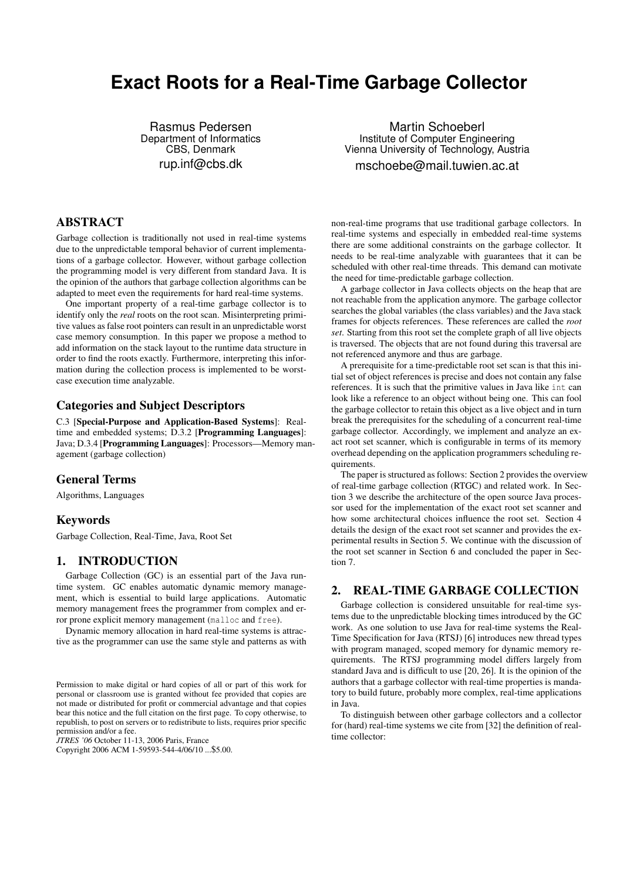# **Exact Roots for a Real-Time Garbage Collector**

Rasmus Pedersen Department of Informatics CBS, Denmark rup.inf@cbs.dk

Martin Schoeberl Institute of Computer Engineering Vienna University of Technology, Austria mschoebe@mail.tuwien.ac.at

# ABSTRACT

Garbage collection is traditionally not used in real-time systems due to the unpredictable temporal behavior of current implementations of a garbage collector. However, without garbage collection the programming model is very different from standard Java. It is the opinion of the authors that garbage collection algorithms can be adapted to meet even the requirements for hard real-time systems.

One important property of a real-time garbage collector is to identify only the *real* roots on the root scan. Misinterpreting primitive values as false root pointers can result in an unpredictable worst case memory consumption. In this paper we propose a method to add information on the stack layout to the runtime data structure in order to find the roots exactly. Furthermore, interpreting this information during the collection process is implemented to be worstcase execution time analyzable.

## Categories and Subject Descriptors

C.3 [Special-Purpose and Application-Based Systems]: Realtime and embedded systems; D.3.2 [Programming Languages]: Java; D.3.4 [Programming Languages]: Processors—Memory management (garbage collection)

## General Terms

Algorithms, Languages

## Keywords

Garbage Collection, Real-Time, Java, Root Set

## 1. INTRODUCTION

Garbage Collection (GC) is an essential part of the Java runtime system. GC enables automatic dynamic memory management, which is essential to build large applications. Automatic memory management frees the programmer from complex and error prone explicit memory management (malloc and free).

Dynamic memory allocation in hard real-time systems is attractive as the programmer can use the same style and patterns as with

*JTRES '06* October 11-13, 2006 Paris, France

Copyright 2006 ACM 1-59593-544-4/06/10 ...\$5.00.

non-real-time programs that use traditional garbage collectors. In real-time systems and especially in embedded real-time systems there are some additional constraints on the garbage collector. It needs to be real-time analyzable with guarantees that it can be scheduled with other real-time threads. This demand can motivate the need for time-predictable garbage collection.

A garbage collector in Java collects objects on the heap that are not reachable from the application anymore. The garbage collector searches the global variables (the class variables) and the Java stack frames for objects references. These references are called the *root set*. Starting from this root set the complete graph of all live objects is traversed. The objects that are not found during this traversal are not referenced anymore and thus are garbage.

A prerequisite for a time-predictable root set scan is that this initial set of object references is precise and does not contain any false references. It is such that the primitive values in Java like int can look like a reference to an object without being one. This can fool the garbage collector to retain this object as a live object and in turn break the prerequisites for the scheduling of a concurrent real-time garbage collector. Accordingly, we implement and analyze an exact root set scanner, which is configurable in terms of its memory overhead depending on the application programmers scheduling requirements.

The paper is structured as follows: Section [2](#page-0-0) provides the overview of real-time garbage collection (RTGC) and related work. In Section [3](#page-1-0) we describe the architecture of the open source Java processor used for the implementation of the exact root set scanner and how some architectural choices influence the root set. Section [4](#page-3-0) details the design of the exact root set scanner and provides the experimental results in Section [5.](#page-5-0) We continue with the discussion of the root set scanner in Section [6](#page-5-1) and concluded the paper in Section [7.](#page-6-0)

## <span id="page-0-0"></span>2. REAL-TIME GARBAGE COLLECTION

Garbage collection is considered unsuitable for real-time systems due to the unpredictable blocking times introduced by the GC work. As one solution to use Java for real-time systems the Real-Time Specification for Java (RTSJ) [\[6\]](#page-6-1) introduces new thread types with program managed, scoped memory for dynamic memory requirements. The RTSJ programming model differs largely from standard Java and is difficult to use [\[20,](#page-7-0) [26\]](#page-7-1). It is the opinion of the authors that a garbage collector with real-time properties is mandatory to build future, probably more complex, real-time applications in Java.

To distinguish between other garbage collectors and a collector for (hard) real-time systems we cite from [\[32\]](#page-7-2) the definition of realtime collector:

Permission to make digital or hard copies of all or part of this work for personal or classroom use is granted without fee provided that copies are not made or distributed for profit or commercial advantage and that copies bear this notice and the full citation on the first page. To copy otherwise, to republish, to post on servers or to redistribute to lists, requires prior specific permission and/or a fee.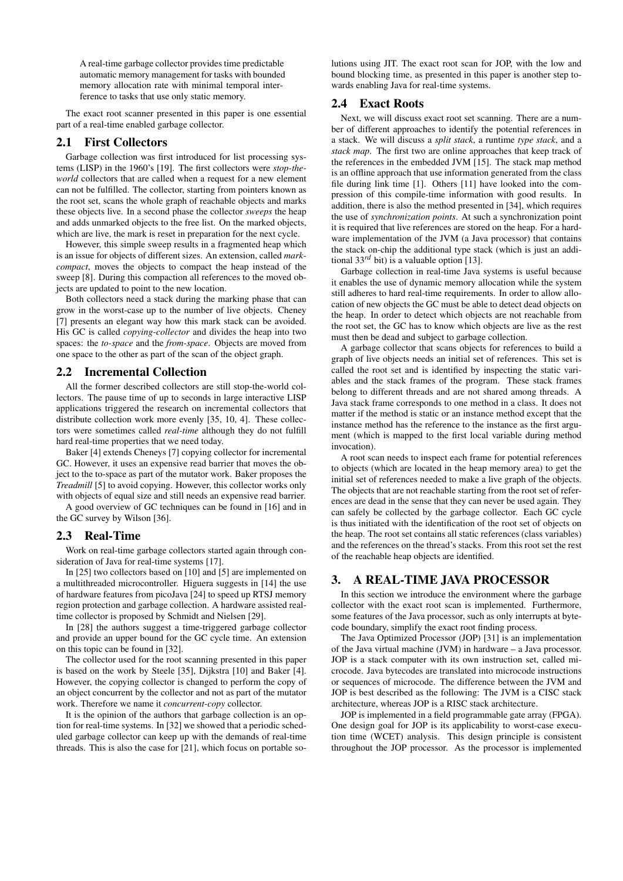A real-time garbage collector provides time predictable automatic memory management for tasks with bounded memory allocation rate with minimal temporal interference to tasks that use only static memory.

The exact root scanner presented in this paper is one essential part of a real-time enabled garbage collector.

#### 2.1 First Collectors

Garbage collection was first introduced for list processing systems (LISP) in the 1960's [\[19\]](#page-7-3). The first collectors were *stop-theworld* collectors that are called when a request for a new element can not be fulfilled. The collector, starting from pointers known as the root set, scans the whole graph of reachable objects and marks these objects live. In a second phase the collector *sweeps* the heap and adds unmarked objects to the free list. On the marked objects, which are live, the mark is reset in preparation for the next cycle.

However, this simple sweep results in a fragmented heap which is an issue for objects of different sizes. An extension, called *markcompact*, moves the objects to compact the heap instead of the sweep [\[8\]](#page-6-2). During this compaction all references to the moved objects are updated to point to the new location.

Both collectors need a stack during the marking phase that can grow in the worst-case up to the number of live objects. Cheney [\[7\]](#page-6-3) presents an elegant way how this mark stack can be avoided. His GC is called *copying-collector* and divides the heap into two spaces: the *to-space* and the *from-space*. Objects are moved from one space to the other as part of the scan of the object graph.

#### 2.2 Incremental Collection

All the former described collectors are still stop-the-world collectors. The pause time of up to seconds in large interactive LISP applications triggered the research on incremental collectors that distribute collection work more evenly [\[35,](#page-7-4) [10,](#page-6-4) [4\]](#page-6-5). These collectors were sometimes called *real-time* although they do not fulfill hard real-time properties that we need today.

Baker [\[4\]](#page-6-5) extends Cheneys [\[7\]](#page-6-3) copying collector for incremental GC. However, it uses an expensive read barrier that moves the object to the to-space as part of the mutator work. Baker proposes the *Treadmill* [\[5\]](#page-6-6) to avoid copying. However, this collector works only with objects of equal size and still needs an expensive read barrier.

A good overview of GC techniques can be found in [\[16\]](#page-7-5) and in the GC survey by Wilson [\[36\]](#page-7-6).

#### 2.3 Real-Time

Work on real-time garbage collectors started again through consideration of Java for real-time systems [\[17\]](#page-7-7).

In [\[25\]](#page-7-8) two collectors based on [\[10\]](#page-6-4) and [\[5\]](#page-6-6) are implemented on a multithreaded microcontroller. Higuera suggests in [\[14\]](#page-7-9) the use of hardware features from picoJava [\[24\]](#page-7-10) to speed up RTSJ memory region protection and garbage collection. A hardware assisted realtime collector is proposed by Schmidt and Nielsen [\[29\]](#page-7-11).

In [\[28\]](#page-7-12) the authors suggest a time-triggered garbage collector and provide an upper bound for the GC cycle time. An extension on this topic can be found in [\[32\]](#page-7-2).

The collector used for the root scanning presented in this paper is based on the work by Steele [\[35\]](#page-7-4), Dijkstra [\[10\]](#page-6-4) and Baker [\[4\]](#page-6-5). However, the copying collector is changed to perform the copy of an object concurrent by the collector and not as part of the mutator work. Therefore we name it *concurrent-copy* collector.

It is the opinion of the authors that garbage collection is an option for real-time systems. In [\[32\]](#page-7-2) we showed that a periodic scheduled garbage collector can keep up with the demands of real-time threads. This is also the case for [\[21\]](#page-7-13), which focus on portable so-

lutions using JIT. The exact root scan for JOP, with the low and bound blocking time, as presented in this paper is another step towards enabling Java for real-time systems.

#### <span id="page-1-1"></span>2.4 Exact Roots

Next, we will discuss exact root set scanning. There are a number of different approaches to identify the potential references in a stack. We will discuss a *split stack*, a runtime *type stack*, and a *stack map*. The first two are online approaches that keep track of the references in the embedded JVM [\[15\]](#page-7-14). The stack map method is an offline approach that use information generated from the class file during link time [\[1\]](#page-6-7). Others [\[11\]](#page-7-15) have looked into the compression of this compile-time information with good results. In addition, there is also the method presented in [\[34\]](#page-7-16), which requires the use of *synchronization points*. At such a synchronization point it is required that live references are stored on the heap. For a hardware implementation of the JVM (a Java processor) that contains the stack on-chip the additional type stack (which is just an additional 33*rd* bit) is a valuable option [\[13\]](#page-7-17).

Garbage collection in real-time Java systems is useful because it enables the use of dynamic memory allocation while the system still adheres to hard real-time requirements. In order to allow allocation of new objects the GC must be able to detect dead objects on the heap. In order to detect which objects are not reachable from the root set, the GC has to know which objects are live as the rest must then be dead and subject to garbage collection.

A garbage collector that scans objects for references to build a graph of live objects needs an initial set of references. This set is called the root set and is identified by inspecting the static variables and the stack frames of the program. These stack frames belong to different threads and are not shared among threads. A Java stack frame corresponds to one method in a class. It does not matter if the method is static or an instance method except that the instance method has the reference to the instance as the first argument (which is mapped to the first local variable during method invocation).

A root scan needs to inspect each frame for potential references to objects (which are located in the heap memory area) to get the initial set of references needed to make a live graph of the objects. The objects that are not reachable starting from the root set of references are dead in the sense that they can never be used again. They can safely be collected by the garbage collector. Each GC cycle is thus initiated with the identification of the root set of objects on the heap. The root set contains all static references (class variables) and the references on the thread's stacks. From this root set the rest of the reachable heap objects are identified.

## <span id="page-1-0"></span>3. A REAL-TIME JAVA PROCESSOR

In this section we introduce the environment where the garbage collector with the exact root scan is implemented. Furthermore, some features of the Java processor, such as only interrupts at bytecode boundary, simplify the exact root finding process.

The Java Optimized Processor (JOP) [\[31\]](#page-7-18) is an implementation of the Java virtual machine (JVM) in hardware – a Java processor. JOP is a stack computer with its own instruction set, called microcode. Java bytecodes are translated into microcode instructions or sequences of microcode. The difference between the JVM and JOP is best described as the following: The JVM is a CISC stack architecture, whereas JOP is a RISC stack architecture.

JOP is implemented in a field programmable gate array (FPGA). One design goal for JOP is its applicability to worst-case execution time (WCET) analysis. This design principle is consistent throughout the JOP processor. As the processor is implemented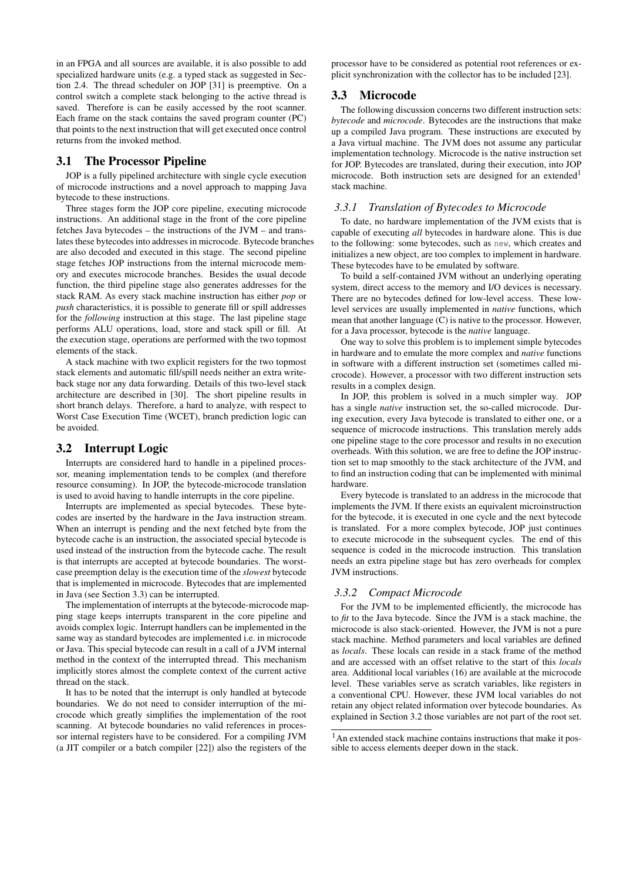in an FPGA and all sources are available, it is also possible to add specialized hardware units (e.g. a typed stack as suggested in Section [2.4.](#page-1-1) The thread scheduler on JOP [\[31\]](#page-7-18) is preemptive. On a control switch a complete stack belonging to the active thread is saved. Therefore is can be easily accessed by the root scanner. Each frame on the stack contains the saved program counter (PC) that points to the next instruction that will get executed once control returns from the invoked method.

#### 3.1 The Processor Pipeline

JOP is a fully pipelined architecture with single cycle execution of microcode instructions and a novel approach to mapping Java bytecode to these instructions.

Three stages form the JOP core pipeline, executing microcode instructions. An additional stage in the front of the core pipeline fetches Java bytecodes – the instructions of the JVM – and translates these bytecodes into addresses in microcode. Bytecode branches are also decoded and executed in this stage. The second pipeline stage fetches JOP instructions from the internal microcode memory and executes microcode branches. Besides the usual decode function, the third pipeline stage also generates addresses for the stack RAM. As every stack machine instruction has either *pop* or *push* characteristics, it is possible to generate fill or spill addresses for the *following* instruction at this stage. The last pipeline stage performs ALU operations, load, store and stack spill or fill. At the execution stage, operations are performed with the two topmost elements of the stack.

A stack machine with two explicit registers for the two topmost stack elements and automatic fill/spill needs neither an extra writeback stage nor any data forwarding. Details of this two-level stack architecture are described in [\[30\]](#page-7-19). The short pipeline results in short branch delays. Therefore, a hard to analyze, with respect to Worst Case Execution Time (WCET), branch prediction logic can be avoided.

#### <span id="page-2-2"></span>3.2 Interrupt Logic

Interrupts are considered hard to handle in a pipelined processor, meaning implementation tends to be complex (and therefore resource consuming). In JOP, the bytecode-microcode translation is used to avoid having to handle interrupts in the core pipeline.

Interrupts are implemented as special bytecodes. These bytecodes are inserted by the hardware in the Java instruction stream. When an interrupt is pending and the next fetched byte from the bytecode cache is an instruction, the associated special bytecode is used instead of the instruction from the bytecode cache. The result is that interrupts are accepted at bytecode boundaries. The worstcase preemption delay is the execution time of the *slowest* bytecode that is implemented in microcode. Bytecodes that are implemented in Java (see Section [3.3\)](#page-2-0) can be interrupted.

The implementation of interrupts at the bytecode-microcode mapping stage keeps interrupts transparent in the core pipeline and avoids complex logic. Interrupt handlers can be implemented in the same way as standard bytecodes are implemented i.e. in microcode or Java. This special bytecode can result in a call of a JVM internal method in the context of the interrupted thread. This mechanism implicitly stores almost the complete context of the current active thread on the stack.

It has to be noted that the interrupt is only handled at bytecode boundaries. We do not need to consider interruption of the microcode which greatly simplifies the implementation of the root scanning. At bytecode boundaries no valid references in processor internal registers have to be considered. For a compiling JVM (a JIT compiler or a batch compiler [\[22\]](#page-7-20)) also the registers of the

processor have to be considered as potential root references or explicit synchronization with the collector has to be included [\[23\]](#page-7-21).

#### <span id="page-2-0"></span>3.3 Microcode

The following discussion concerns two different instruction sets: *bytecode* and *microcode*. Bytecodes are the instructions that make up a compiled Java program. These instructions are executed by a Java virtual machine. The JVM does not assume any particular implementation technology. Microcode is the native instruction set for JOP. Bytecodes are translated, during their execution, into JOP microcode. Both instruction sets are designed for an extended<sup>[1](#page-2-1)</sup> stack machine.

#### *3.3.1 Translation of Bytecodes to Microcode*

To date, no hardware implementation of the JVM exists that is capable of executing *all* bytecodes in hardware alone. This is due to the following: some bytecodes, such as new, which creates and initializes a new object, are too complex to implement in hardware. These bytecodes have to be emulated by software.

To build a self-contained JVM without an underlying operating system, direct access to the memory and I/O devices is necessary. There are no bytecodes defined for low-level access. These lowlevel services are usually implemented in *native* functions, which mean that another language (C) is native to the processor. However, for a Java processor, bytecode is the *native* language.

One way to solve this problem is to implement simple bytecodes in hardware and to emulate the more complex and *native* functions in software with a different instruction set (sometimes called microcode). However, a processor with two different instruction sets results in a complex design.

In JOP, this problem is solved in a much simpler way. JOP has a single *native* instruction set, the so-called microcode. During execution, every Java bytecode is translated to either one, or a sequence of microcode instructions. This translation merely adds one pipeline stage to the core processor and results in no execution overheads. With this solution, we are free to define the JOP instruction set to map smoothly to the stack architecture of the JVM, and to find an instruction coding that can be implemented with minimal hardware.

Every bytecode is translated to an address in the microcode that implements the JVM. If there exists an equivalent microinstruction for the bytecode, it is executed in one cycle and the next bytecode is translated. For a more complex bytecode, JOP just continues to execute microcode in the subsequent cycles. The end of this sequence is coded in the microcode instruction. This translation needs an extra pipeline stage but has zero overheads for complex JVM instructions.

#### *3.3.2 Compact Microcode*

For the JVM to be implemented efficiently, the microcode has to *fit* to the Java bytecode. Since the JVM is a stack machine, the microcode is also stack-oriented. However, the JVM is not a pure stack machine. Method parameters and local variables are defined as *locals*. These locals can reside in a stack frame of the method and are accessed with an offset relative to the start of this *locals* area. Additional local variables (16) are available at the microcode level. These variables serve as scratch variables, like registers in a conventional CPU. However, these JVM local variables do not retain any object related information over bytecode boundaries. As explained in Section [3.2](#page-2-2) those variables are not part of the root set.

<span id="page-2-1"></span><sup>1</sup>An extended stack machine contains instructions that make it possible to access elements deeper down in the stack.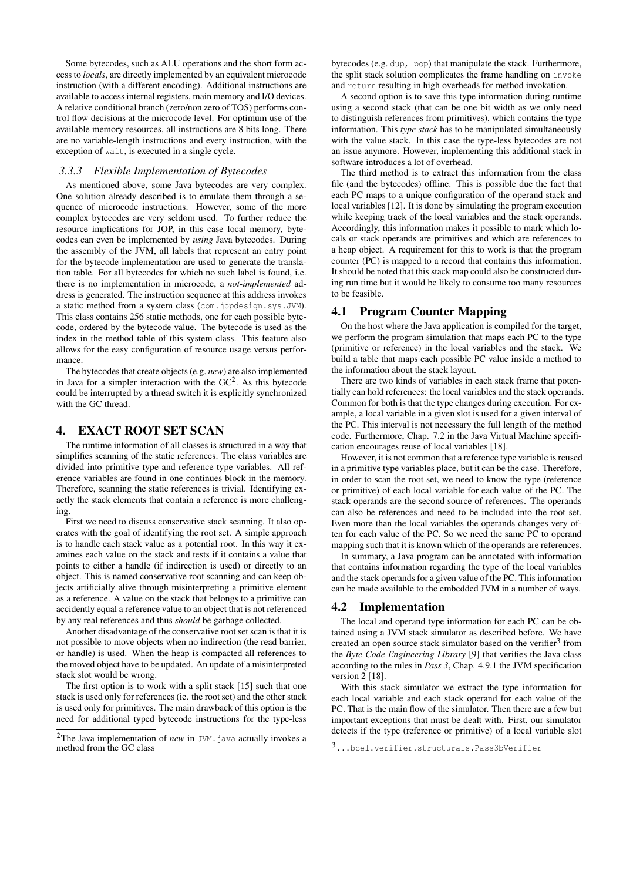Some bytecodes, such as ALU operations and the short form access to *locals*, are directly implemented by an equivalent microcode instruction (with a different encoding). Additional instructions are available to access internal registers, main memory and I/O devices. A relative conditional branch (zero/non zero of TOS) performs control flow decisions at the microcode level. For optimum use of the available memory resources, all instructions are 8 bits long. There are no variable-length instructions and every instruction, with the exception of wait, is executed in a single cycle.

#### *3.3.3 Flexible Implementation of Bytecodes*

As mentioned above, some Java bytecodes are very complex. One solution already described is to emulate them through a sequence of microcode instructions. However, some of the more complex bytecodes are very seldom used. To further reduce the resource implications for JOP, in this case local memory, bytecodes can even be implemented by *using* Java bytecodes. During the assembly of the JVM, all labels that represent an entry point for the bytecode implementation are used to generate the translation table. For all bytecodes for which no such label is found, i.e. there is no implementation in microcode, a *not-implemented* address is generated. The instruction sequence at this address invokes a static method from a system class (com.jopdesign.sys.JVM). This class contains 256 static methods, one for each possible bytecode, ordered by the bytecode value. The bytecode is used as the index in the method table of this system class. This feature also allows for the easy configuration of resource usage versus performance.

The bytecodes that create objects (e.g. *new*) are also implemented in Java for a simpler interaction with the  $GC^2$  $GC^2$ . As this bytecode could be interrupted by a thread switch it is explicitly synchronized with the GC thread.

# <span id="page-3-0"></span>4. EXACT ROOT SET SCAN

The runtime information of all classes is structured in a way that simplifies scanning of the static references. The class variables are divided into primitive type and reference type variables. All reference variables are found in one continues block in the memory. Therefore, scanning the static references is trivial. Identifying exactly the stack elements that contain a reference is more challenging.

First we need to discuss conservative stack scanning. It also operates with the goal of identifying the root set. A simple approach is to handle each stack value as a potential root. In this way it examines each value on the stack and tests if it contains a value that points to either a handle (if indirection is used) or directly to an object. This is named conservative root scanning and can keep objects artificially alive through misinterpreting a primitive element as a reference. A value on the stack that belongs to a primitive can accidently equal a reference value to an object that is not referenced by any real references and thus *should* be garbage collected.

Another disadvantage of the conservative root set scan is that it is not possible to move objects when no indirection (the read barrier, or handle) is used. When the heap is compacted all references to the moved object have to be updated. An update of a misinterpreted stack slot would be wrong.

The first option is to work with a split stack [\[15\]](#page-7-14) such that one stack is used only for references (ie. the root set) and the other stack is used only for primitives. The main drawback of this option is the need for additional typed bytecode instructions for the type-less

bytecodes (e.g. dup, pop) that manipulate the stack. Furthermore, the split stack solution complicates the frame handling on invoke and return resulting in high overheads for method invokation.

A second option is to save this type information during runtime using a second stack (that can be one bit width as we only need to distinguish references from primitives), which contains the type information. This *type stack* has to be manipulated simultaneously with the value stack. In this case the type-less bytecodes are not an issue anymore. However, implementing this additional stack in software introduces a lot of overhead.

The third method is to extract this information from the class file (and the bytecodes) offline. This is possible due the fact that each PC maps to a unique configuration of the operand stack and local variables [\[12\]](#page-7-22). It is done by simulating the program execution while keeping track of the local variables and the stack operands. Accordingly, this information makes it possible to mark which locals or stack operands are primitives and which are references to a heap object. A requirement for this to work is that the program counter (PC) is mapped to a record that contains this information. It should be noted that this stack map could also be constructed during run time but it would be likely to consume too many resources to be feasible.

#### 4.1 Program Counter Mapping

On the host where the Java application is compiled for the target, we perform the program simulation that maps each PC to the type (primitive or reference) in the local variables and the stack. We build a table that maps each possible PC value inside a method to the information about the stack layout.

There are two kinds of variables in each stack frame that potentially can hold references: the local variables and the stack operands. Common for both is that the type changes during execution. For example, a local variable in a given slot is used for a given interval of the PC. This interval is not necessary the full length of the method code. Furthermore, Chap. 7.2 in the Java Virtual Machine specification encourages reuse of local variables [\[18\]](#page-7-23).

However, it is not common that a reference type variable is reused in a primitive type variables place, but it can be the case. Therefore, in order to scan the root set, we need to know the type (reference or primitive) of each local variable for each value of the PC. The stack operands are the second source of references. The operands can also be references and need to be included into the root set. Even more than the local variables the operands changes very often for each value of the PC. So we need the same PC to operand mapping such that it is known which of the operands are references.

In summary, a Java program can be annotated with information that contains information regarding the type of the local variables and the stack operands for a given value of the PC. This information can be made available to the embedded JVM in a number of ways.

#### 4.2 Implementation

The local and operand type information for each PC can be obtained using a JVM stack simulator as described before. We have created an open source stack simulator based on the verifier<sup>[3](#page-3-2)</sup> from the *Byte Code Engineering Library* [\[9\]](#page-6-8) that verifies the Java class according to the rules in *Pass 3*, Chap. 4.9.1 the JVM specification version 2 [\[18\]](#page-7-23).

With this stack simulator we extract the type information for each local variable and each stack operand for each value of the PC. That is the main flow of the simulator. Then there are a few but important exceptions that must be dealt with. First, our simulator detects if the type (reference or primitive) of a local variable slot

<span id="page-3-1"></span><sup>&</sup>lt;sup>2</sup>The Java implementation of *new* in JVM. java actually invokes a method from the GC class

<span id="page-3-2"></span><sup>3</sup>...bcel.verifier.structurals.Pass3bVerifier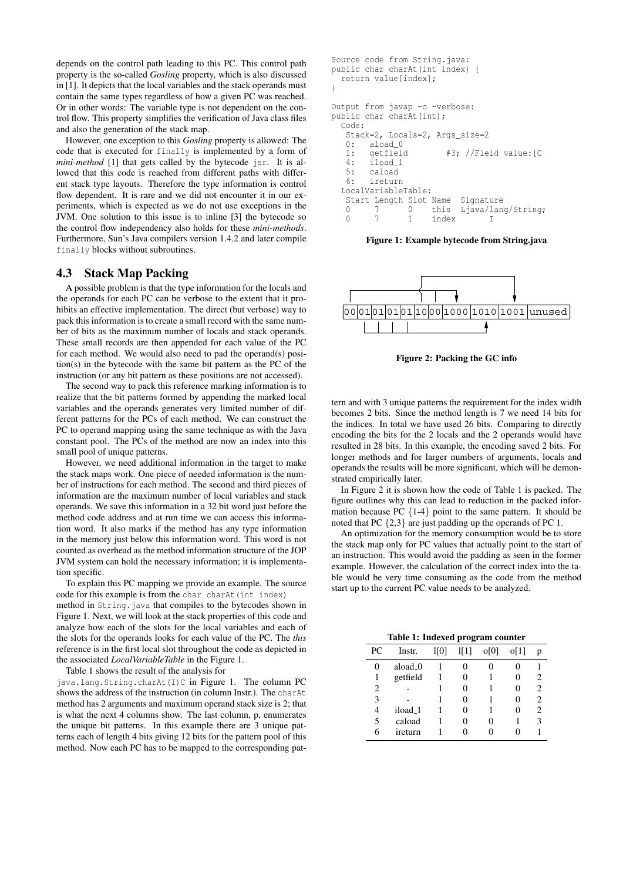depends on the control path leading to this PC. This control path property is the so-called *Gosling* property, which is also discussed in [\[1\]](#page-6-7). It depicts that the local variables and the stack operands must contain the same types regardless of how a given PC was reached. Or in other words: The variable type is not dependent on the control flow. This property simplifies the verification of Java class files and also the generation of the stack map.

However, one exception to this *Gosling* property is allowed: The code that is executed for finally is implemented by a form of *mini-method* [\[1\]](#page-6-7) that gets called by the bytecode jsr. It is allowed that this code is reached from different paths with different stack type layouts. Therefore the type information is control flow dependent. It is rare and we did not encounter it in our experiments, which is expected as we do not use exceptions in the JVM. One solution to this issue is to inline [\[3\]](#page-6-9) the bytecode so the control flow independency also holds for these *mini-methods*. Furthermore, Sun's Java compilers version 1.4.2 and later compile finally blocks without subroutines.

## 4.3 Stack Map Packing

A possible problem is that the type information for the locals and the operands for each PC can be verbose to the extent that it prohibits an effective implementation. The direct (but verbose) way to pack this information is to create a small record with the same number of bits as the maximum number of locals and stack operands. These small records are then appended for each value of the PC for each method. We would also need to pad the operand(s) position(s) in the bytecode with the same bit pattern as the PC of the instruction (or any bit pattern as these positions are not accessed).

The second way to pack this reference marking information is to realize that the bit patterns formed by appending the marked local variables and the operands generates very limited number of different patterns for the PCs of each method. We can construct the PC to operand mapping using the same technique as with the Java constant pool. The PCs of the method are now an index into this small pool of unique patterns.

However, we need additional information in the target to make the stack maps work. One piece of needed information is the number of instructions for each method. The second and third pieces of information are the maximum number of local variables and stack operands. We save this information in a 32 bit word just before the method code address and at run time we can access this information word. It also marks if the method has any type information in the memory just below this information word. This word is not counted as overhead as the method information structure of the JOP JVM system can hold the necessary information; it is implementation specific.

To explain this PC mapping we provide an example. The source code for this example is from the char charAt (int index)

method in String. java that compiles to the bytecodes shown in Figure [1.](#page-4-0) Next, we will look at the stack properties of this code and analyze how each of the slots for the local variables and each of the slots for the operands looks for each value of the PC. The *this* reference is in the first local slot throughout the code as depicted in the associated *LocalVariableTable* in the Figure [1.](#page-4-0)

Table [1](#page-4-1) shows the result of the analysis for

java.lang.String.charAt(I)C in Figure [1.](#page-4-0) The column PC shows the address of the instruction (in column Instr.). The charAt method has 2 arguments and maximum operand stack size is 2; that is what the next 4 columns show. The last column, p, enumerates the unique bit patterns. In this example there are 3 unique patterns each of length 4 bits giving 12 bits for the pattern pool of this method. Now each PC has to be mapped to the corresponding pat-

```
Source code from String.java:
public char charAt(int index) {
  return value[index];
}
Output from javap -c -verbose:
public char charAt(int);
  Code:
   Stack=2, Locals=2, Args_size=2<br>0: aload 0
       aload_0
  1: getfield #3; //Field value:[C
  4: iload_1<br>5: caload
        5: caload
   6: ireturn
  LocalVariableTable:
  Start Length Slot Name Signature
   0 7 0 this Ljava/lang/String;
   0 7 1 index I
```
<span id="page-4-0"></span>Figure 1: Example bytecode from String.java



<span id="page-4-2"></span>Figure 2: Packing the GC info

tern and with 3 unique patterns the requirement for the index width becomes 2 bits. Since the method length is 7 we need 14 bits for the indices. In total we have used 26 bits. Comparing to directly encoding the bits for the 2 locals and the 2 operands would have resulted in 28 bits. In this example, the encoding saved 2 bits. For longer methods and for larger numbers of arguments, locals and operands the results will be more significant, which will be demonstrated empirically later.

In Figure [2](#page-4-2) it is shown how the code of Table [1](#page-4-1) is packed. The figure outlines why this can lead to reduction in the packed information because PC {1-4} point to the same pattern. It should be noted that PC {2,3} are just padding up the operands of PC 1.

An optimization for the memory consumption would be to store the stack map only for PC values that actually point to the start of an instruction. This would avoid the padding as seen in the former example. However, the calculation of the correct index into the table would be very time consuming as the code from the method start up to the current PC value needs to be analyzed.

<span id="page-4-1"></span>Table 1: Indexed program counter

|    |                     |      | o    |      |      |                |
|----|---------------------|------|------|------|------|----------------|
| PC | Instr.              | 1[0] | 1[1] | o[0] | 0[1] | p              |
| 0  | aload <sub>0</sub>  |      |      |      |      |                |
| 1  | getfield            |      | 0    |      |      | 2              |
| 2  |                     |      | 0    |      |      | $\mathfrak{D}$ |
| 3  |                     |      |      |      |      | 2              |
| 4  | iload <sub>-1</sub> |      | 0    |      | 0    | 2              |
| 5  | caload              |      | 0    | 0    |      | 3              |
| 6  | ireturn             |      |      |      |      |                |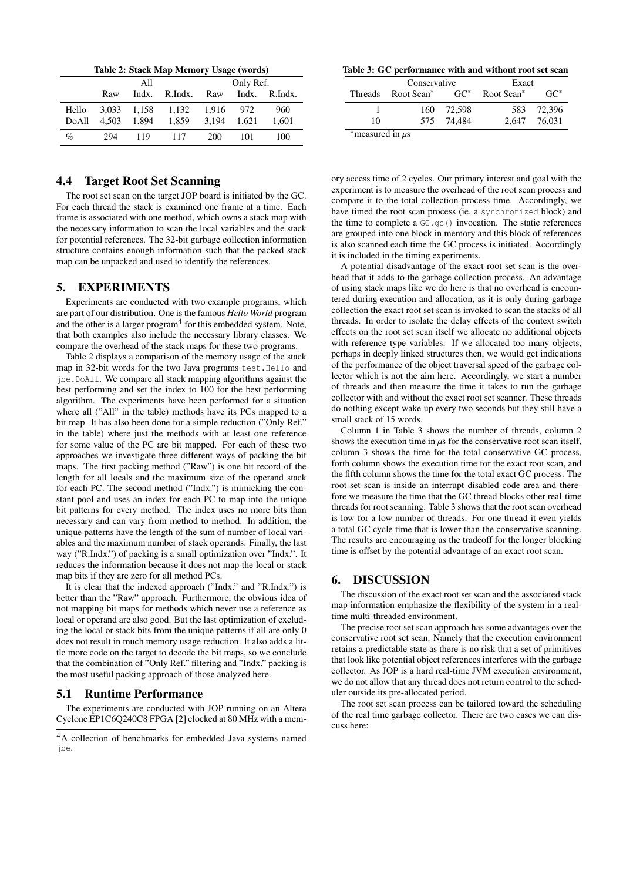<span id="page-5-3"></span>Table 2: Stack Map Memory Usage (words)

|       | All   |       |                   | Only Ref. |       |         |
|-------|-------|-------|-------------------|-----------|-------|---------|
|       | Raw   | Indx. | R.Indx.           | Raw       | Indx. | R.Indx. |
| Hello |       |       | 3,033 1,158 1,132 | 1.916     | 972   | 960     |
| DoAll | 4.503 | 1.894 | 1.859             | 3.194     | 1.621 | 1.601   |
| $\%$  | 294   | 119   | 117               | 200       | 101   | 100     |

#### 4.4 Target Root Set Scanning

The root set scan on the target JOP board is initiated by the GC. For each thread the stack is examined one frame at a time. Each frame is associated with one method, which owns a stack map with the necessary information to scan the local variables and the stack for potential references. The 32-bit garbage collection information structure contains enough information such that the packed stack map can be unpacked and used to identify the references.

## <span id="page-5-0"></span>5. EXPERIMENTS

Experiments are conducted with two example programs, which are part of our distribution. One is the famous *Hello World* program and the other is a larger program $4$  for this embedded system. Note, that both examples also include the necessary library classes. We compare the overhead of the stack maps for these two programs.

Table [2](#page-5-3) displays a comparison of the memory usage of the stack map in 32-bit words for the two Java programs test.Hello and jbe.DoAll. We compare all stack mapping algorithms against the best performing and set the index to 100 for the best performing algorithm. The experiments have been performed for a situation where all ("All" in the table) methods have its PCs mapped to a bit map. It has also been done for a simple reduction ("Only Ref." in the table) where just the methods with at least one reference for some value of the PC are bit mapped. For each of these two approaches we investigate three different ways of packing the bit maps. The first packing method ("Raw") is one bit record of the length for all locals and the maximum size of the operand stack for each PC. The second method ("Indx.") is mimicking the constant pool and uses an index for each PC to map into the unique bit patterns for every method. The index uses no more bits than necessary and can vary from method to method. In addition, the unique patterns have the length of the sum of number of local variables and the maximum number of stack operands. Finally, the last way ("R.Indx.") of packing is a small optimization over "Indx.". It reduces the information because it does not map the local or stack map bits if they are zero for all method PCs.

It is clear that the indexed approach ("Indx." and "R.Indx.") is better than the "Raw" approach. Furthermore, the obvious idea of not mapping bit maps for methods which never use a reference as local or operand are also good. But the last optimization of excluding the local or stack bits from the unique patterns if all are only 0 does not result in much memory usage reduction. It also adds a little more code on the target to decode the bit maps, so we conclude that the combination of "Only Ref." filtering and "Indx." packing is the most useful packing approach of those analyzed here.

## 5.1 Runtime Performance

The experiments are conducted with JOP running on an Altera Cyclone EP1C6Q240C8 FPGA [\[2\]](#page-6-10) clocked at 80 MHz with a mem-

Table 3: GC performance with and without root set scan

<span id="page-5-4"></span>

|                | Conservative |        | Exact                  |            |  |
|----------------|--------------|--------|------------------------|------------|--|
| <b>Threads</b> | Root Scan*   | $GC^*$ | Root Scan <sup>*</sup> | $GC^*$     |  |
|                | 160          | 72.598 |                        | 583 72.396 |  |
| 10             | 575          | 74.484 | 2.647                  | 76.031     |  |
|                | $\cdot$      |        |                        |            |  |

<sup>∗</sup>measured in *µ*s

ory access time of 2 cycles. Our primary interest and goal with the experiment is to measure the overhead of the root scan process and compare it to the total collection process time. Accordingly, we have timed the root scan process (ie. a synchronized block) and the time to complete a GC.gc() invocation. The static references are grouped into one block in memory and this block of references is also scanned each time the GC process is initiated. Accordingly it is included in the timing experiments.

A potential disadvantage of the exact root set scan is the overhead that it adds to the garbage collection process. An advantage of using stack maps like we do here is that no overhead is encountered during execution and allocation, as it is only during garbage collection the exact root set scan is invoked to scan the stacks of all threads. In order to isolate the delay effects of the context switch effects on the root set scan itself we allocate no additional objects with reference type variables. If we allocated too many objects, perhaps in deeply linked structures then, we would get indications of the performance of the object traversal speed of the garbage collector which is not the aim here. Accordingly, we start a number of threads and then measure the time it takes to run the garbage collector with and without the exact root set scanner. These threads do nothing except wake up every two seconds but they still have a small stack of 15 words.

Column 1 in Table [3](#page-5-4) shows the number of threads, column 2 shows the execution time in  $\mu$ s for the conservative root scan itself, column 3 shows the time for the total conservative GC process, forth column shows the execution time for the exact root scan, and the fifth column shows the time for the total exact GC process. The root set scan is inside an interrupt disabled code area and therefore we measure the time that the GC thread blocks other real-time threads for root scanning. Table [3](#page-5-4) shows that the root scan overhead is low for a low number of threads. For one thread it even yields a total GC cycle time that is lower than the conservative scanning. The results are encouraging as the tradeoff for the longer blocking time is offset by the potential advantage of an exact root scan.

# <span id="page-5-1"></span>6. DISCUSSION

The discussion of the exact root set scan and the associated stack map information emphasize the flexibility of the system in a realtime multi-threaded environment.

The precise root set scan approach has some advantages over the conservative root set scan. Namely that the execution environment retains a predictable state as there is no risk that a set of primitives that look like potential object references interferes with the garbage collector. As JOP is a hard real-time JVM execution environment, we do not allow that any thread does not return control to the scheduler outside its pre-allocated period.

The root set scan process can be tailored toward the scheduling of the real time garbage collector. There are two cases we can discuss here:

<span id="page-5-2"></span><sup>4</sup>A collection of benchmarks for embedded Java systems named jbe.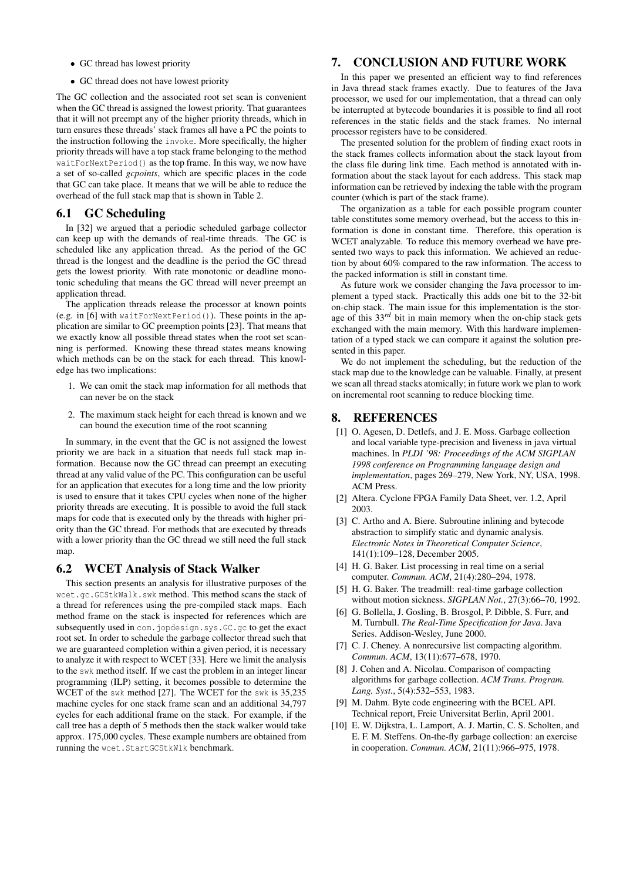- GC thread has lowest priority
- GC thread does not have lowest priority

The GC collection and the associated root set scan is convenient when the GC thread is assigned the lowest priority. That guarantees that it will not preempt any of the higher priority threads, which in turn ensures these threads' stack frames all have a PC the points to the instruction following the invoke. More specifically, the higher priority threads will have a top stack frame belonging to the method waitForNextPeriod() as the top frame. In this way, we now have a set of so-called *gcpoints*, which are specific places in the code that GC can take place. It means that we will be able to reduce the overhead of the full stack map that is shown in Table [2.](#page-5-3)

## 6.1 GC Scheduling

In [\[32\]](#page-7-2) we argued that a periodic scheduled garbage collector can keep up with the demands of real-time threads. The GC is scheduled like any application thread. As the period of the GC thread is the longest and the deadline is the period the GC thread gets the lowest priority. With rate monotonic or deadline monotonic scheduling that means the GC thread will never preempt an application thread.

The application threads release the processor at known points (e.g. in [\[6\]](#page-6-1) with waitForNextPeriod()). These points in the application are similar to GC preemption points [\[23\]](#page-7-21). That means that we exactly know all possible thread states when the root set scanning is performed. Knowing these thread states means knowing which methods can be on the stack for each thread. This knowledge has two implications:

- 1. We can omit the stack map information for all methods that can never be on the stack
- 2. The maximum stack height for each thread is known and we can bound the execution time of the root scanning

In summary, in the event that the GC is not assigned the lowest priority we are back in a situation that needs full stack map information. Because now the GC thread can preempt an executing thread at any valid value of the PC. This configuration can be useful for an application that executes for a long time and the low priority is used to ensure that it takes CPU cycles when none of the higher priority threads are executing. It is possible to avoid the full stack maps for code that is executed only by the threads with higher priority than the GC thread. For methods that are executed by threads with a lower priority than the GC thread we still need the full stack map.

#### 6.2 WCET Analysis of Stack Walker

This section presents an analysis for illustrative purposes of the wcet.gc.GCStkWalk.swk method. This method scans the stack of a thread for references using the pre-compiled stack maps. Each method frame on the stack is inspected for references which are subsequently used in com.jopdesign.sys.GC.gc to get the exact root set. In order to schedule the garbage collector thread such that we are guaranteed completion within a given period, it is necessary to analyze it with respect to WCET [\[33\]](#page-7-24). Here we limit the analysis to the swk method itself. If we cast the problem in an integer linear programming (ILP) setting, it becomes possible to determine the WCET of the swk method [\[27\]](#page-7-25). The WCET for the swk is 35,235 machine cycles for one stack frame scan and an additional 34,797 cycles for each additional frame on the stack. For example, if the call tree has a depth of 5 methods then the stack walker would take approx. 175,000 cycles. These example numbers are obtained from running the wcet.StartGCStkWlk benchmark.

# <span id="page-6-0"></span>7. CONCLUSION AND FUTURE WORK

In this paper we presented an efficient way to find references in Java thread stack frames exactly. Due to features of the Java processor, we used for our implementation, that a thread can only be interrupted at bytecode boundaries it is possible to find all root references in the static fields and the stack frames. No internal processor registers have to be considered.

The presented solution for the problem of finding exact roots in the stack frames collects information about the stack layout from the class file during link time. Each method is annotated with information about the stack layout for each address. This stack map information can be retrieved by indexing the table with the program counter (which is part of the stack frame).

The organization as a table for each possible program counter table constitutes some memory overhead, but the access to this information is done in constant time. Therefore, this operation is WCET analyzable. To reduce this memory overhead we have presented two ways to pack this information. We achieved an reduction by about 60% compared to the raw information. The access to the packed information is still in constant time.

As future work we consider changing the Java processor to implement a typed stack. Practically this adds one bit to the 32-bit on-chip stack. The main issue for this implementation is the storage of this  $33^{rd}$  bit in main memory when the on-chip stack gets exchanged with the main memory. With this hardware implementation of a typed stack we can compare it against the solution presented in this paper.

We do not implement the scheduling, but the reduction of the stack map due to the knowledge can be valuable. Finally, at present we scan all thread stacks atomically; in future work we plan to work on incremental root scanning to reduce blocking time.

## 8. REFERENCES

- <span id="page-6-7"></span>[1] O. Agesen, D. Detlefs, and J. E. Moss. Garbage collection and local variable type-precision and liveness in java virtual machines. In *PLDI '98: Proceedings of the ACM SIGPLAN 1998 conference on Programming language design and implementation*, pages 269–279, New York, NY, USA, 1998. ACM Press.
- <span id="page-6-10"></span>[2] Altera. Cyclone FPGA Family Data Sheet, ver. 1.2, April 2003.
- <span id="page-6-9"></span>[3] C. Artho and A. Biere. Subroutine inlining and bytecode abstraction to simplify static and dynamic analysis. *Electronic Notes in Theoretical Computer Science*, 141(1):109–128, December 2005.
- <span id="page-6-5"></span>[4] H. G. Baker. List processing in real time on a serial computer. *Commun. ACM*, 21(4):280–294, 1978.
- <span id="page-6-6"></span>[5] H. G. Baker. The treadmill: real-time garbage collection without motion sickness. *SIGPLAN Not.*, 27(3):66–70, 1992.
- <span id="page-6-1"></span>[6] G. Bollella, J. Gosling, B. Brosgol, P. Dibble, S. Furr, and M. Turnbull. *The Real-Time Specification for Java*. Java Series. Addison-Wesley, June 2000.
- <span id="page-6-3"></span>[7] C. J. Cheney. A nonrecursive list compacting algorithm. *Commun. ACM*, 13(11):677–678, 1970.
- <span id="page-6-2"></span>[8] J. Cohen and A. Nicolau. Comparison of compacting algorithms for garbage collection. *ACM Trans. Program. Lang. Syst.*, 5(4):532–553, 1983.
- <span id="page-6-8"></span>[9] M. Dahm. Byte code engineering with the BCEL API. Technical report, Freie Universitat Berlin, April 2001.
- <span id="page-6-4"></span>[10] E. W. Dijkstra, L. Lamport, A. J. Martin, C. S. Scholten, and E. F. M. Steffens. On-the-fly garbage collection: an exercise in cooperation. *Commun. ACM*, 21(11):966–975, 1978.